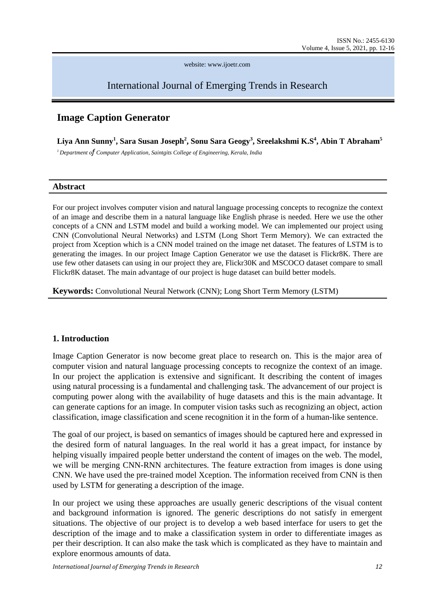website: www.ijoetr.com

# International Journal of Emerging Trends in Research

# **Image Caption Generator**

**Liya Ann Sunny<sup>1</sup> , Sara Susan Joseph<sup>2</sup> , Sonu Sara Geogy<sup>3</sup> , Sreelakshmi K.S<sup>4</sup> , Abin T Abraham<sup>5</sup>** *<sup>1</sup> Department of Computer Application, Saintgits College of Engineering, Kerala, India*

#### **Abstract**

For our project involves computer vision and natural language processing concepts to recognize the context of an image and describe them in a natural language like English phrase is needed. Here we use the other concepts of a CNN and LSTM model and build a working model. We can implemented our project using CNN (Convolutional Neural Networks) and LSTM (Long Short Term Memory). We can extracted the project from Xception which is a CNN model trained on the image net dataset. The features of LSTM is to generating the images. In our project Image Caption Generator we use the dataset is Flickr8K. There are use few other datasets can using in our project they are, Flickr30K and MSCOCO dataset compare to small Flickr8K dataset. The main advantage of our project is huge dataset can build better models.

**Keywords:** Convolutional Neural Network (CNN); Long Short Term Memory (LSTM)

### **1. Introduction**

Image Caption Generator is now become great place to research on. This is the major area of computer vision and natural language processing concepts to recognize the context of an image. In our project the application is extensive and significant. It describing the content of images using natural processing is a fundamental and challenging task. The advancement of our project is computing power along with the availability of huge datasets and this is the main advantage. It can generate captions for an image. In computer vision tasks such as recognizing an object, action classification, image classification and scene recognition it in the form of a human-like sentence.

The goal of our project, is based on semantics of images should be captured here and expressed in the desired form of natural languages. In the real world it has a great impact, for instance by helping visually impaired people better understand the content of images on the web. The model, we will be merging CNN-RNN architectures. The feature extraction from images is done using CNN. We have used the pre-trained model Xception. The information received from CNN is then used by LSTM for generating a description of the image.

In our project we using these approaches are usually generic descriptions of the visual content and background information is ignored. The generic descriptions do not satisfy in emergent situations. The objective of our project is to develop a web based interface for users to get the description of the image and to make a classification system in order to differentiate images as per their description. It can also make the task which is complicated as they have to maintain and explore enormous amounts of data.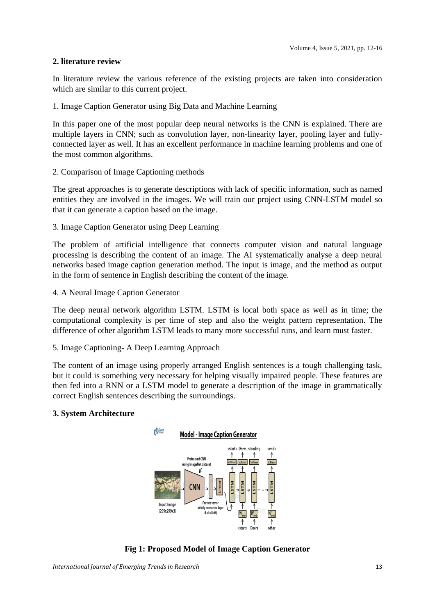### **2. literature review**

In literature review the various reference of the existing projects are taken into consideration which are similar to this current project.

1. Image Caption Generator using Big Data and Machine Learning

In this paper one of the most popular deep neural networks is the CNN is explained. There are multiple layers in CNN; such as convolution layer, non-linearity layer, pooling layer and fullyconnected layer as well. It has an excellent performance in machine learning problems and one of the most common algorithms.

2. Comparison of Image Captioning methods

The great approaches is to generate descriptions with lack of specific information, such as named entities they are involved in the images. We will train our project using CNN-LSTM model so that it can generate a caption based on the image.

3. Image Caption Generator using Deep Learning

The problem of artificial intelligence that connects computer vision and natural language processing is describing the content of an image. The AI systematically analyse a deep neural networks based image caption generation method. The input is image, and the method as output in the form of sentence in English describing the content of the image.

4. A Neural Image Caption Generator

The deep neural network algorithm LSTM. LSTM is local both space as well as in time; the computational complexity is per time of step and also the weight pattern representation. The difference of other algorithm LSTM leads to many more successful runs, and learn must faster.

### 5. Image Captioning- A Deep Learning Approach

The content of an image using properly arranged English sentences is a tough challenging task, but it could is something very necessary for helping visually impaired people. These features are then fed into a RNN or a LSTM model to generate a description of the image in grammatically correct English sentences describing the surroundings.

### **3. System Architecture**



**Fig 1: Proposed Model of Image Caption Generator**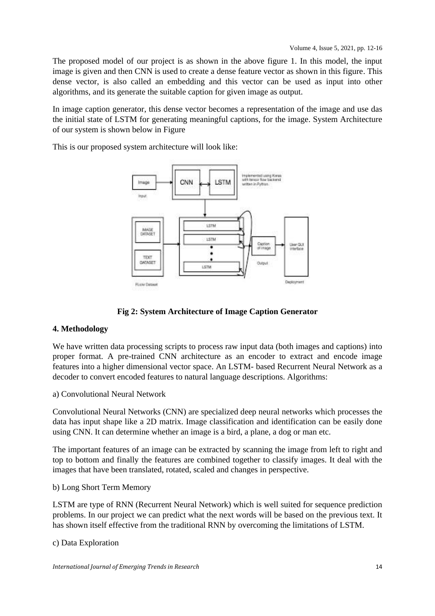The proposed model of our project is as shown in the above figure 1. In this model, the input image is given and then CNN is used to create a dense feature vector as shown in this figure. This dense vector, is also called an embedding and this vector can be used as input into other algorithms, and its generate the suitable caption for given image as output.

In image caption generator, this dense vector becomes a representation of the image and use das the initial state of LSTM for generating meaningful captions, for the image. System Architecture of our system is shown below in Figure

This is our proposed system architecture will look like:



**Fig 2: System Architecture of Image Caption Generator**

# **4. Methodology**

We have written data processing scripts to process raw input data (both images and captions) into proper format. A pre-trained CNN architecture as an encoder to extract and encode image features into a higher dimensional vector space. An LSTM- based Recurrent Neural Network as a decoder to convert encoded features to natural language descriptions. Algorithms:

a) Convolutional Neural Network

Convolutional Neural Networks (CNN) are specialized deep neural networks which processes the data has input shape like a 2D matrix. Image classification and identification can be easily done using CNN. It can determine whether an image is a bird, a plane, a dog or man etc.

The important features of an image can be extracted by scanning the image from left to right and top to bottom and finally the features are combined together to classify images. It deal with the images that have been translated, rotated, scaled and changes in perspective.

# b) Long Short Term Memory

LSTM are type of RNN (Recurrent Neural Network) which is well suited for sequence prediction problems. In our project we can predict what the next words will be based on the previous text. It has shown itself effective from the traditional RNN by overcoming the limitations of LSTM.

c) Data Exploration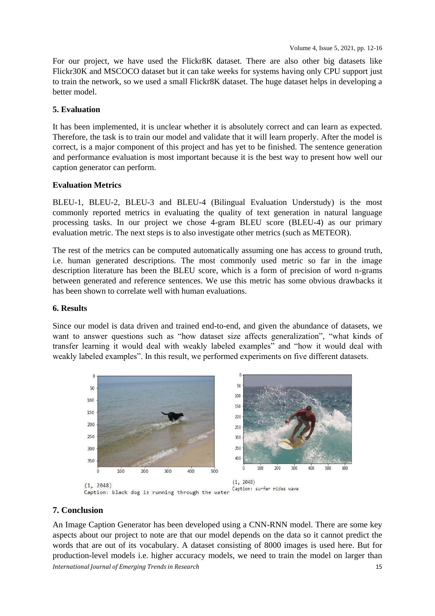For our project, we have used the Flickr8K dataset. There are also other big datasets like Flickr30K and MSCOCO dataset but it can take weeks for systems having only CPU support just to train the network, so we used a small Flickr8K dataset. The huge dataset helps in developing a better model.

### **5. Evaluation**

It has been implemented, it is unclear whether it is absolutely correct and can learn as expected. Therefore, the task is to train our model and validate that it will learn properly. After the model is correct, is a major component of this project and has yet to be finished. The sentence generation and performance evaluation is most important because it is the best way to present how well our caption generator can perform.

### **Evaluation Metrics**

BLEU-1, BLEU-2, BLEU-3 and BLEU-4 (Bilingual Evaluation Understudy) is the most commonly reported metrics in evaluating the quality of text generation in natural language processing tasks. In our project we chose 4-gram BLEU score (BLEU-4) as our primary evaluation metric. The next steps is to also investigate other metrics (such as METEOR).

The rest of the metrics can be computed automatically assuming one has access to ground truth, i.e. human generated descriptions. The most commonly used metric so far in the image description literature has been the BLEU score, which is a form of precision of word n-grams between generated and reference sentences. We use this metric has some obvious drawbacks it has been shown to correlate well with human evaluations.

#### **6. Results**

Since our model is data driven and trained end-to-end, and given the abundance of datasets, we want to answer questions such as "how dataset size affects generalization", "what kinds of transfer learning it would deal with weakly labeled examples" and "how it would deal with weakly labeled examples". In this result, we performed experiments on five different datasets.



#### **7. Conclusion**

*International Journal of Emerging Trends in Research* 15 An Image Caption Generator has been developed using a CNN-RNN model. There are some key aspects about our project to note are that our model depends on the data so it cannot predict the words that are out of its vocabulary. A dataset consisting of 8000 images is used here. But for production-level models i.e. higher accuracy models, we need to train the model on larger than